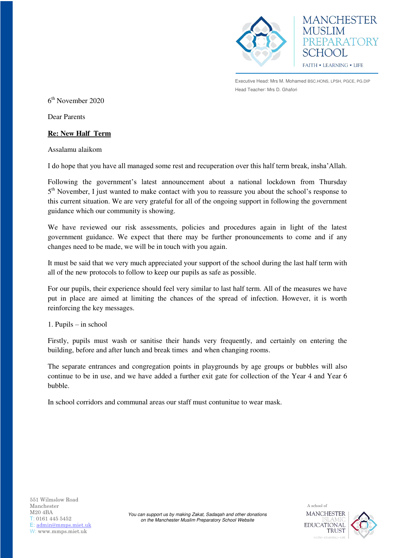

**MANCHESTER** PREPARATORY SCHOOL **FAITH • LEARNING • LIFE** 

Executive Head: Mrs M. Mohamed BSC.HONS, LPSH, PGCE, PG.DIP Head Teacher: Mrs D. Ghafori

6 th November 2020

Dear Parents

## **Re: New Half Term**

Assalamu alaikom

I do hope that you have all managed some rest and recuperation over this half term break, insha'Allah.

Following the government's latest announcement about a national lockdown from Thursday 5<sup>th</sup> November, I just wanted to make contact with you to reassure you about the school's response to this current situation. We are very grateful for all of the ongoing support in following the government guidance which our community is showing.

We have reviewed our risk assessments, policies and procedures again in light of the latest government guidance. We expect that there may be further pronouncements to come and if any changes need to be made, we will be in touch with you again.

It must be said that we very much appreciated your support of the school during the last half term with all of the new protocols to follow to keep our pupils as safe as possible.

For our pupils, their experience should feel very similar to last half term. All of the measures we have put in place are aimed at limiting the chances of the spread of infection. However, it is worth reinforcing the key messages.

1. Pupils – in school

Firstly, pupils must wash or sanitise their hands very frequently, and certainly on entering the building, before and after lunch and break times and when changing rooms.

The separate entrances and congregation points in playgrounds by age groups or bubbles will also continue to be in use, and we have added a further exit gate for collection of the Year 4 and Year 6 bubble.

> *You can support us by making Zakat, Sadaqah and other donations on the Manchester Muslim Preparatory School Website*

In school corridors and communal areas our staff must contunitue to wear mask.